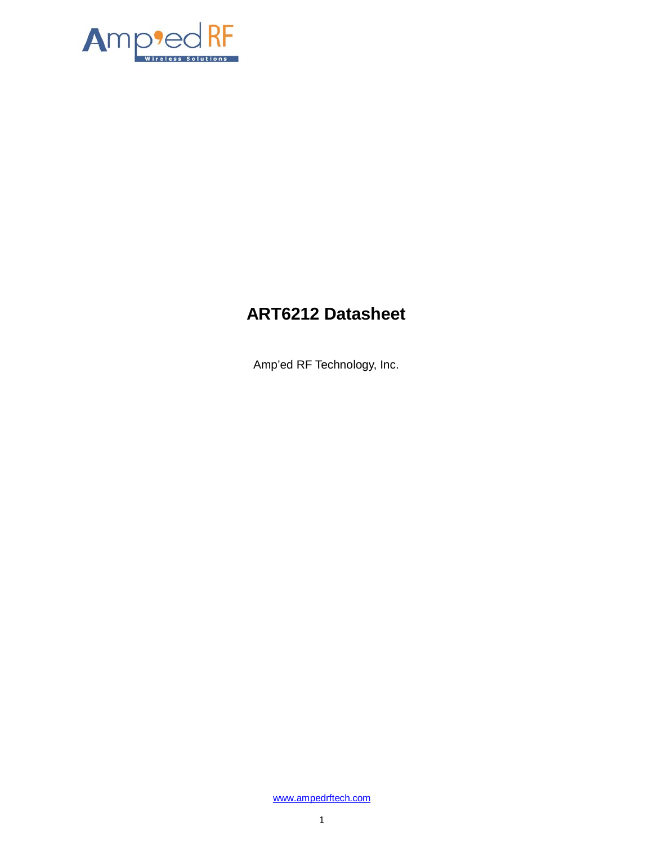

# **ART6212 Datasheet**

Amp'ed RF Technology, Inc.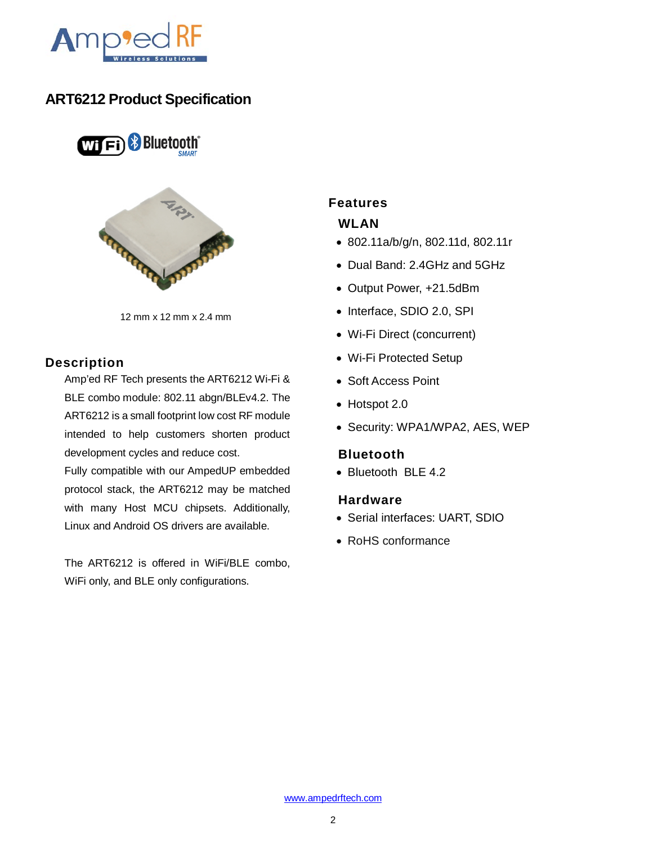

## **ART6212 Product Specification**

**WIFI** Bluetooth<sup>®</sup>



12 mm x 12 mm x 2.4 mm

#### **Description**

Amp'ed RF Tech presents the ART6212 Wi-Fi & BLE combo module: 802.11 abgn/BLEv4.2. The ART6212 is a small footprint low cost RF module intended to help customers shorten product development cycles and reduce cost.

Fully compatible with our AmpedUP embedded protocol stack, the ART6212 may be matched with many Host MCU chipsets. Additionally, Linux and Android OS drivers are available.

The ART6212 is offered in WiFi/BLE combo, WiFi only, and BLE only configurations.

## **Features**

## **WLAN**

- 802.11a/b/g/n, 802.11d, 802.11r
- Dual Band: 2.4GHz and 5GHz
- Output Power, +21.5dBm
- Interface, SDIO 2.0, SPI
- Wi-Fi Direct (concurrent)
- Wi-Fi Protected Setup
- Soft Access Point
- Hotspot 2.0
- Security: WPA1/WPA2, AES, WEP

#### **Bluetooth**

• Bluetooth BLE 4.2

#### **Hardware**

- Serial interfaces: UART, SDIO
- RoHS conformance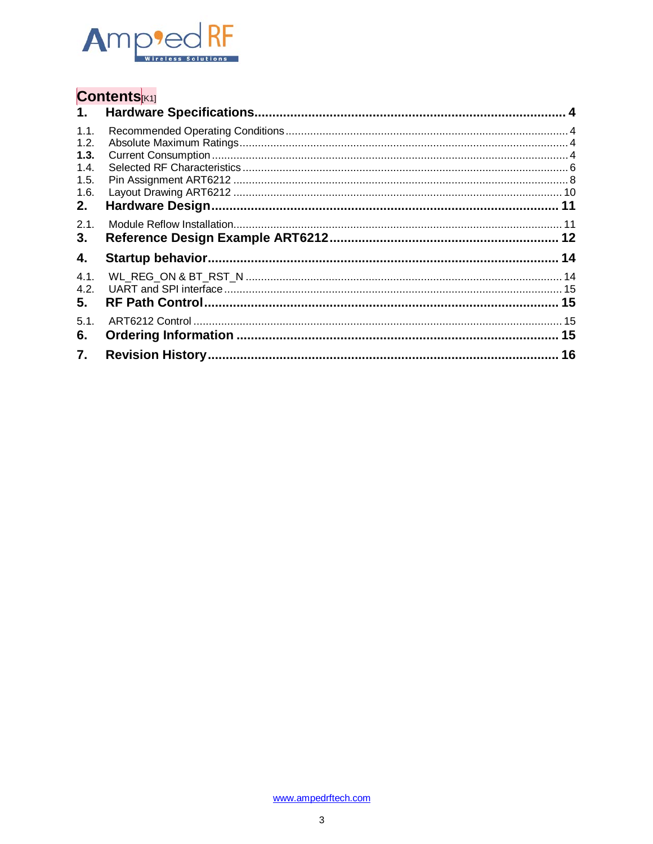

# Contents<sub>K1]</sub>

| 1.           |  |
|--------------|--|
| 1.1.         |  |
| 1.2.         |  |
| 1.3.         |  |
| 1.4.         |  |
| 1.5.<br>1.6. |  |
| 2.           |  |
| 2.1.         |  |
| 3.           |  |
| 4.           |  |
| 4.1.<br>4.2. |  |
| 5.           |  |
| 5.1.         |  |
| 6.           |  |
| 7.           |  |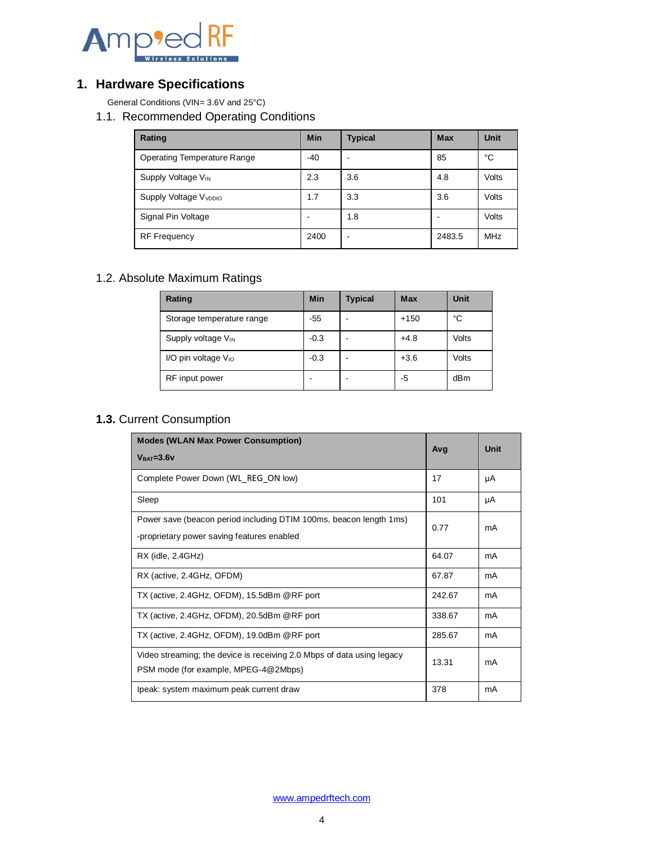

## <span id="page-3-0"></span>**1. Hardware Specifications**

<span id="page-3-1"></span>General Conditions (VIN= 3.6V and 25°C)

1.1. Recommended Operating Conditions

| Rating                            | <b>Min</b> | <b>Typical</b> | <b>Max</b> | <b>Unit</b> |
|-----------------------------------|------------|----------------|------------|-------------|
| Operating Temperature Range       | $-40$      |                | 85         | °C          |
| Supply Voltage V <sub>IN</sub>    | 2.3        | 3.6            | 4.8        | Volts       |
| Supply Voltage V <sub>VDDIO</sub> | 1.7        | 3.3            | 3.6        | Volts       |
| Signal Pin Voltage                |            | 1.8            |            | Volts       |
| <b>RF</b> Frequency               | 2400       | -              | 2483.5     | <b>MHz</b>  |

## <span id="page-3-2"></span>1.2. Absolute Maximum Ratings

| Rating                          | <b>Min</b> | <b>Typical</b> | Max    | <b>Unit</b> |
|---------------------------------|------------|----------------|--------|-------------|
| Storage temperature range       | $-55$      |                | $+150$ | °C          |
| Supply voltage V <sub>IN</sub>  | $-0.3$     |                | $+4.8$ | Volts       |
| I/O pin voltage V <sub>IO</sub> | $-0.3$     |                | $+3.6$ | Volts       |
| RF input power                  |            |                | -5     | dBm         |

## <span id="page-3-3"></span>**1.3.** Current Consumption

| <b>Modes (WLAN Max Power Consumption)</b>                                                                        | Ava    | Unit |
|------------------------------------------------------------------------------------------------------------------|--------|------|
| $VBAT=3.6V$                                                                                                      |        |      |
| Complete Power Down (WL REG ON low)                                                                              | 17     | μA   |
| Sleep                                                                                                            | 101    | μA   |
| Power save (beacon period including DTIM 100ms, beacon length 1ms)<br>-proprietary power saving features enabled | 0.77   | mA   |
| $RX$ (idle, $2.4GHz$ )                                                                                           | 64.07  | mA   |
| RX (active, 2.4GHz, OFDM)                                                                                        | 67.87  | mA   |
| TX (active, 2.4GHz, OFDM), 15.5dBm @RF port                                                                      | 242.67 | mA   |
| TX (active, 2.4GHz, OFDM), 20.5dBm @RF port                                                                      | 338.67 | mA   |
| TX (active, 2.4GHz, OFDM), 19.0dBm @RF port                                                                      | 285.67 | mA   |
| Video streaming; the device is receiving 2.0 Mbps of data using legacy<br>PSM mode (for example, MPEG-4@2Mbps)   | 13.31  | mA   |
| Ipeak: system maximum peak current draw                                                                          | 378    | mA   |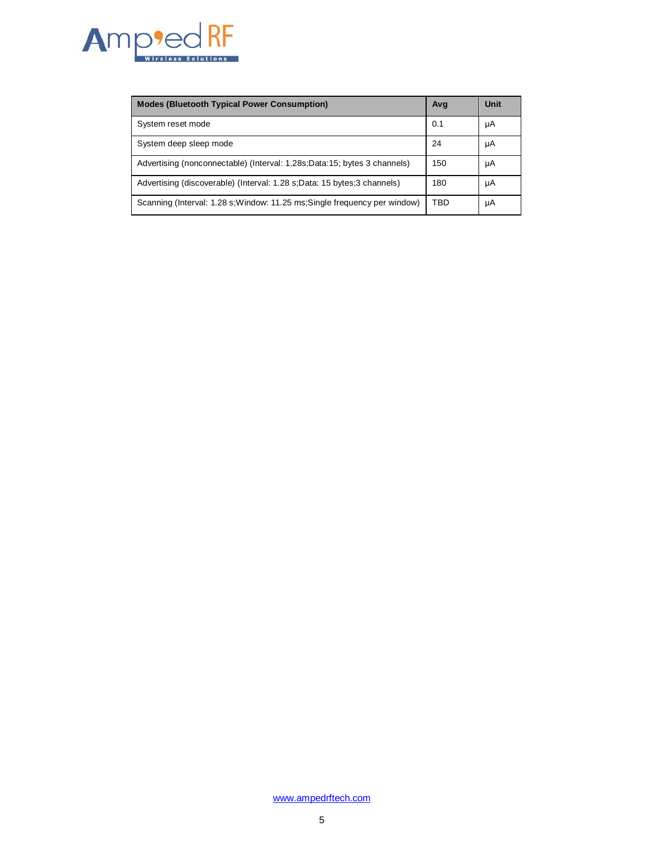

| <b>Modes (Bluetooth Typical Power Consumption)</b>                         | Avg | Unit |
|----------------------------------------------------------------------------|-----|------|
| System reset mode                                                          | 0.1 | μA   |
| System deep sleep mode                                                     | 24  | μA   |
| Advertising (nonconnectable) (Interval: 1.28s; Data: 15; bytes 3 channels) | 150 | μA   |
| Advertising (discoverable) (Interval: 1.28 s;Data: 15 bytes;3 channels)    | 180 | μA   |
| Scanning (Interval: 1.28 s; Window: 11.25 ms; Single frequency per window) | TBD | μA   |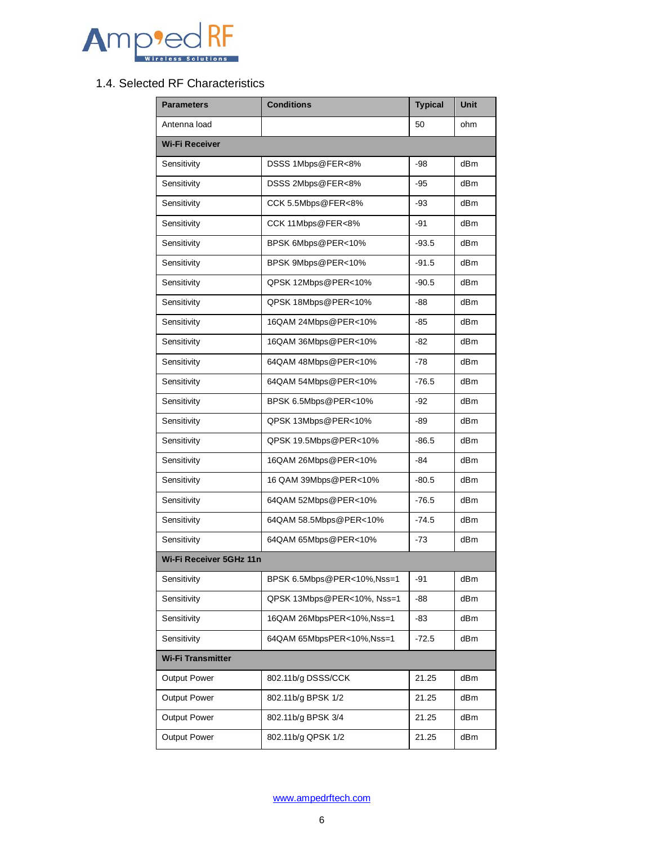

## <span id="page-5-0"></span>1.4. Selected RF Characteristics

| <b>Parameters</b>       | <b>Conditions</b>          | <b>Typical</b> | <b>Unit</b>     |  |  |  |
|-------------------------|----------------------------|----------------|-----------------|--|--|--|
| Antenna load            |                            | 50             | ohm             |  |  |  |
| <b>Wi-Fi Receiver</b>   |                            |                |                 |  |  |  |
| Sensitivity             | DSSS 1Mbps@FER<8%          |                | dB <sub>m</sub> |  |  |  |
| Sensitivity             | DSSS 2Mbps@FER<8%          | -95            | dB <sub>m</sub> |  |  |  |
| Sensitivity             | CCK 5.5Mbps@FER<8%         | -93            | dB <sub>m</sub> |  |  |  |
| Sensitivity             | CCK 11Mbps@FER<8%          | -91            | dBm             |  |  |  |
| Sensitivity             | BPSK 6Mbps@PER<10%         | $-93.5$        | dB <sub>m</sub> |  |  |  |
| Sensitivity             | BPSK 9Mbps@PER<10%         | $-91.5$        | dB <sub>m</sub> |  |  |  |
| Sensitivity             | QPSK 12Mbps@PER<10%        | $-90.5$        | dB <sub>m</sub> |  |  |  |
| Sensitivity             | QPSK 18Mbps@PER<10%        | -88            | dB <sub>m</sub> |  |  |  |
| Sensitivity             | 16QAM 24Mbps@PER<10%       | -85            | dBm             |  |  |  |
| Sensitivity             | 16QAM 36Mbps@PER<10%       | -82            | dBm             |  |  |  |
| Sensitivity             | 64QAM 48Mbps@PER<10%       | $-78$          | dB <sub>m</sub> |  |  |  |
| Sensitivity             | 64QAM 54Mbps@PER<10%       | $-76.5$        | dB <sub>m</sub> |  |  |  |
| Sensitivity             | BPSK 6.5Mbps@PER<10%       | $-92$          | dB <sub>m</sub> |  |  |  |
| Sensitivity             | QPSK 13Mbps@PER<10%        | -89            | dB <sub>m</sub> |  |  |  |
| Sensitivity             | QPSK 19.5Mbps@PER<10%      | $-86.5$        | dB <sub>m</sub> |  |  |  |
| Sensitivity             | 16QAM 26Mbps@PER<10%       | -84            | dBm             |  |  |  |
| Sensitivity             | 16 QAM 39Mbps@PER<10%      | $-80.5$        | dB <sub>m</sub> |  |  |  |
| Sensitivity             | 64QAM 52Mbps@PER<10%       | $-76.5$        | dB <sub>m</sub> |  |  |  |
| Sensitivity             | 64QAM 58.5Mbps@PER<10%     | $-74.5$        | dB <sub>m</sub> |  |  |  |
| Sensitivity             | 64QAM 65Mbps@PER<10%       | $-73$          | dBm             |  |  |  |
| Wi-Fi Receiver 5GHz 11n |                            |                |                 |  |  |  |
| Sensitivity             | BPSK 6.5Mbps@PER<10%,Nss=1 | -91            | dBm             |  |  |  |
| Sensitivity             | QPSK 13Mbps@PER<10%, Nss=1 | -88            | dBm             |  |  |  |
| Sensitivity             | 16QAM 26MbpsPER<10%,Nss=1  | -83            | dBm             |  |  |  |
| Sensitivity             | 64QAM 65MbpsPER<10%,Nss=1  | $-72.5$        | dBm             |  |  |  |
| Wi-Fi Transmitter       |                            |                |                 |  |  |  |
| Output Power            | 802.11b/g DSSS/CCK         | 21.25          | dBm             |  |  |  |
| <b>Output Power</b>     | 802.11b/g BPSK 1/2         | 21.25          | dBm             |  |  |  |
| Output Power            | 802.11b/g BPSK 3/4         | 21.25          | dBm             |  |  |  |
| Output Power            | 802.11b/g QPSK 1/2         | 21.25          | dBm             |  |  |  |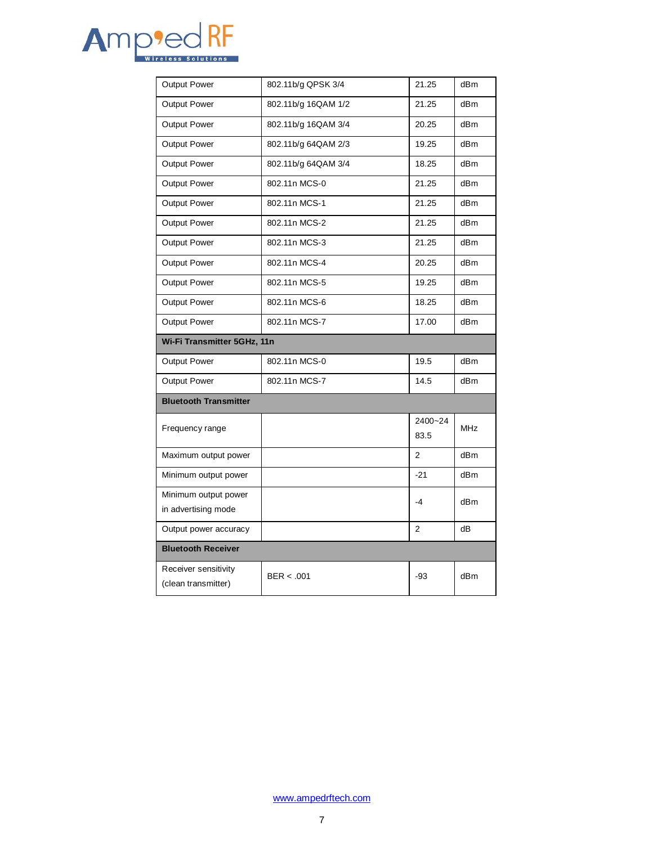

| Output Power                 | 802.11b/g QPSK 3/4  | 21.25          | dB <sub>m</sub> |
|------------------------------|---------------------|----------------|-----------------|
| <b>Output Power</b>          | 802.11b/g 16QAM 1/2 | 21.25          | dBm             |
| <b>Output Power</b>          | 802.11b/g 16QAM 3/4 | 20.25          | dBm             |
| <b>Output Power</b>          | 802.11b/g 64QAM 2/3 | 19.25          | dBm             |
| <b>Output Power</b>          | 802.11b/g 64QAM 3/4 | 18.25          | dBm             |
| <b>Output Power</b>          | 802.11n MCS-0       | 21.25          | dBm             |
| <b>Output Power</b>          | 802.11n MCS-1       | 21.25          | dB <sub>m</sub> |
| <b>Output Power</b>          | 802.11n MCS-2       | 21.25          | dBm             |
| <b>Output Power</b>          | 802.11n MCS-3       | 21.25          | dBm             |
| <b>Output Power</b>          | 802.11n MCS-4       | 20.25          | dBm             |
| <b>Output Power</b>          | 802.11n MCS-5       | 19.25          | dBm             |
| <b>Output Power</b>          | 802.11n MCS-6       | 18.25          | dBm             |
| <b>Output Power</b>          | 802.11n MCS-7       | 17.00          | dBm             |
|                              |                     |                |                 |
| Wi-Fi Transmitter 5GHz, 11n  |                     |                |                 |
| Output Power                 | 802.11n MCS-0       | 19.5           | dBm             |
| <b>Output Power</b>          | 802.11n MCS-7       | 14.5           | dBm             |
| <b>Bluetooth Transmitter</b> |                     |                |                 |
|                              |                     | 2400~24        |                 |
| Frequency range              |                     | 83.5           | <b>MHz</b>      |
| Maximum output power         |                     | $\overline{2}$ | dB <sub>m</sub> |
| Minimum output power         |                     | $-21$          | dBm             |
| Minimum output power         |                     |                |                 |
| in advertising mode          |                     | $-4$           | dBm             |
| Output power accuracy        |                     | $\overline{2}$ | dB              |
| <b>Bluetooth Receiver</b>    |                     |                |                 |
| Receiver sensitivity         | BER < .001          | -93            | dB <sub>m</sub> |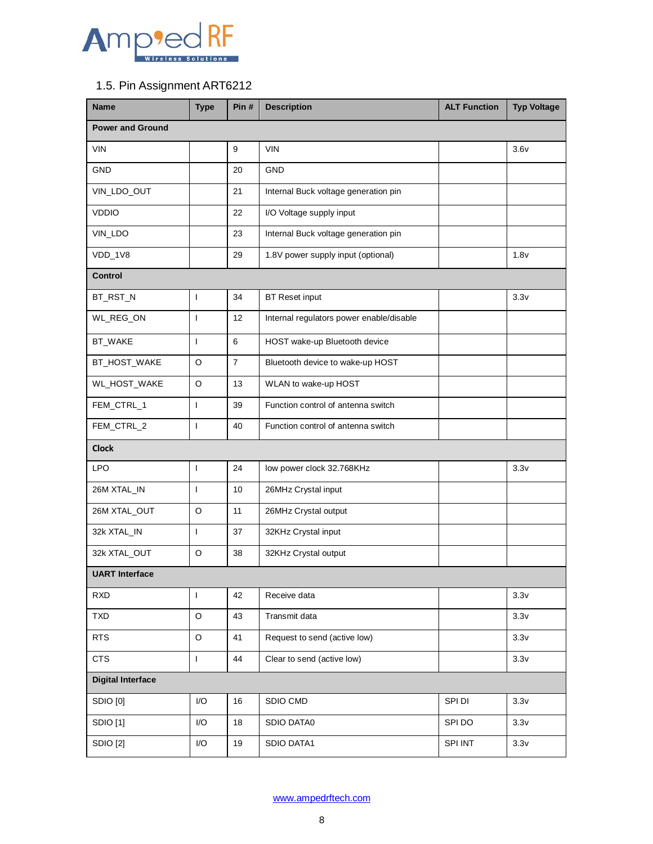

## <span id="page-7-0"></span>1.5. Pin Assignment ART6212

| <b>Name</b>              | <b>Type</b>              | Pin#           | <b>Description</b>                       | <b>ALT Function</b> | <b>Typ Voltage</b> |
|--------------------------|--------------------------|----------------|------------------------------------------|---------------------|--------------------|
| <b>Power and Ground</b>  |                          |                |                                          |                     |                    |
| <b>VIN</b>               |                          | 9              | <b>VIN</b>                               |                     | 3.6v               |
| <b>GND</b>               |                          | 20             | <b>GND</b>                               |                     |                    |
| VIN_LDO_OUT              |                          | 21             | Internal Buck voltage generation pin     |                     |                    |
| <b>VDDIO</b>             |                          | 22             | I/O Voltage supply input                 |                     |                    |
| VIN_LDO                  |                          | 23             | Internal Buck voltage generation pin     |                     |                    |
| VDD_1V8                  |                          | 29             | 1.8V power supply input (optional)       |                     | 1.8v               |
| <b>Control</b>           |                          |                |                                          |                     |                    |
| BT_RST_N                 | $\mathbf{I}$             | 34             | <b>BT Reset input</b>                    |                     | 3.3v               |
| WL_REG_ON                | $\mathbf{I}$             | 12             | Internal regulators power enable/disable |                     |                    |
| BT_WAKE                  | $\mathbf{I}$             | 6              | HOST wake-up Bluetooth device            |                     |                    |
| BT_HOST_WAKE             | O                        | $\overline{7}$ | Bluetooth device to wake-up HOST         |                     |                    |
| WL_HOST_WAKE             | $\circ$                  | 13             | WLAN to wake-up HOST                     |                     |                    |
| FEM_CTRL_1               | $\mathbf{I}$             | 39             | Function control of antenna switch       |                     |                    |
| FEM_CTRL_2               | $\mathbf{I}$             | 40             | Function control of antenna switch       |                     |                    |
| <b>Clock</b>             |                          |                |                                          |                     |                    |
| <b>LPO</b>               | $\overline{\phantom{a}}$ | 24             | low power clock 32.768KHz                |                     | 3.3v               |
| 26M XTAL_IN              | $\mathbf{I}$             | 10             | 26MHz Crystal input                      |                     |                    |
| 26M XTAL_OUT             | O                        | 11             | 26MHz Crystal output                     |                     |                    |
| 32k XTAL_IN              | $\mathbf{I}$             | 37             | 32KHz Crystal input                      |                     |                    |
| 32k XTAL_OUT             | O                        | 38             | 32KHz Crystal output                     |                     |                    |
| <b>UART</b> Interface    |                          |                |                                          |                     |                    |
| <b>RXD</b>               | $\mathbf{I}$             | 42             | Receive data                             |                     | 3.3v               |
| <b>TXD</b>               | $\circ$                  | 43             | Transmit data                            |                     | 3.3v               |
| <b>RTS</b>               | $\circ$                  | 41             | Request to send (active low)             |                     | 3.3v               |
| <b>CTS</b>               | $\mathsf{L}$             | 44             | Clear to send (active low)               |                     | 3.3v               |
| <b>Digital Interface</b> |                          |                |                                          |                     |                    |
| SDIO [0]                 | I/O                      | 16             | SDIO CMD                                 | SPI DI              | 3.3v               |
| <b>SDIO</b> [1]          | I/O                      | 18             | SDIO DATA0                               | SPI DO              | 3.3v               |
| <b>SDIO [2]</b>          | I/O                      | 19             | SDIO DATA1                               | SPI INT             | 3.3v               |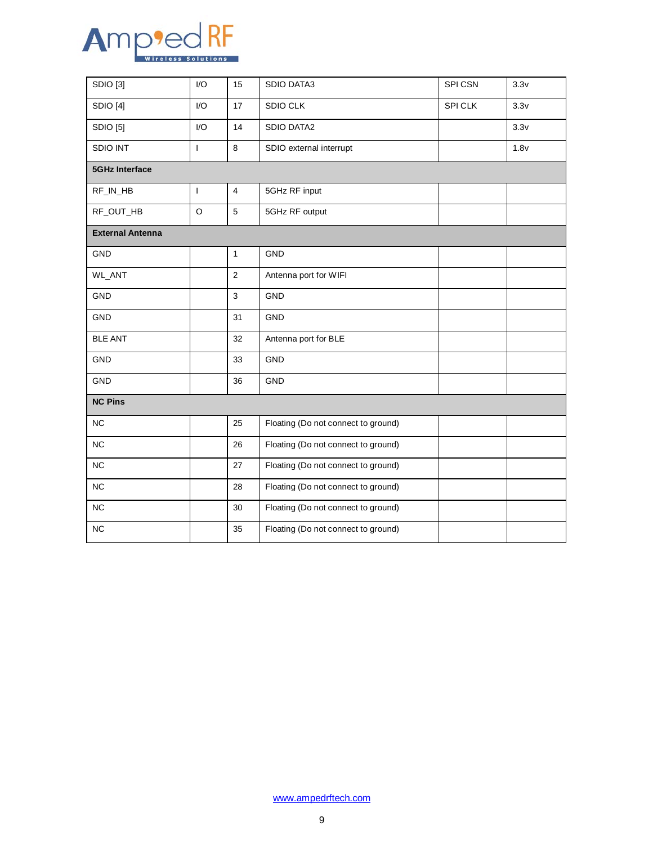

| SDIO [3]                             | I/O                      | 15             | <b>SDIO DATA3</b>                   | SPI CSN | 3.3v |
|--------------------------------------|--------------------------|----------------|-------------------------------------|---------|------|
| SDIO [4]                             | 1/O                      | 17             | <b>SDIO CLK</b>                     | SPI CLK | 3.3v |
| SDIO [5]<br>I/O                      |                          | 14             | <b>SDIO DATA2</b>                   |         | 3.3v |
| <b>SDIO INT</b><br>8<br>$\mathbf{I}$ |                          |                | SDIO external interrupt             |         | 1.8v |
| <b>5GHz Interface</b>                |                          |                |                                     |         |      |
| RF_IN_HB                             | $\overline{\phantom{a}}$ | $\overline{4}$ | 5GHz RF input                       |         |      |
| RF_OUT_HB                            | $\circ$<br>5             |                | 5GHz RF output                      |         |      |
| <b>External Antenna</b>              |                          |                |                                     |         |      |
| GND                                  |                          | $\mathbf{1}$   | GND                                 |         |      |
| WL_ANT                               |                          | $\overline{2}$ | Antenna port for WIFI               |         |      |
| 3<br><b>GND</b>                      |                          |                | <b>GND</b>                          |         |      |
| GND<br>31                            |                          |                | <b>GND</b>                          |         |      |
| 32<br><b>BLE ANT</b>                 |                          |                | Antenna port for BLE                |         |      |
| GND                                  |                          | 33             | GND                                 |         |      |
| GND<br>36                            |                          |                | <b>GND</b>                          |         |      |
| <b>NC Pins</b>                       |                          |                |                                     |         |      |
| <b>NC</b>                            |                          | 25             | Floating (Do not connect to ground) |         |      |
| NC                                   |                          | 26             | Floating (Do not connect to ground) |         |      |
| NC                                   |                          | 27             | Floating (Do not connect to ground) |         |      |
| NC                                   | 28                       |                | Floating (Do not connect to ground) |         |      |
| NC                                   |                          | 30             | Floating (Do not connect to ground) |         |      |
| <b>NC</b>                            | 35                       |                | Floating (Do not connect to ground) |         |      |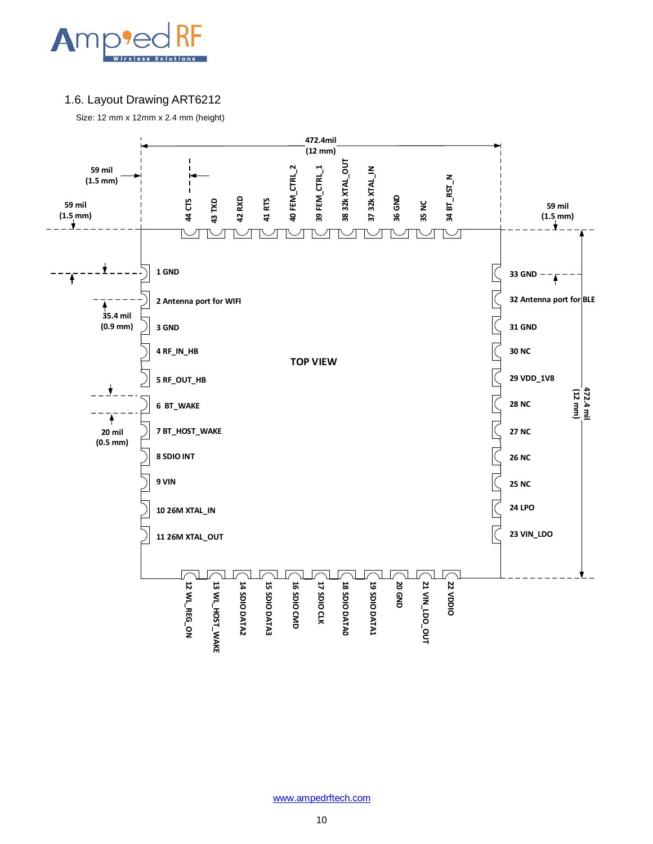

#### <span id="page-9-0"></span>1.6. Layout Drawing ART6212

Size: 12 mm x 12mm x 2.4 mm (height)

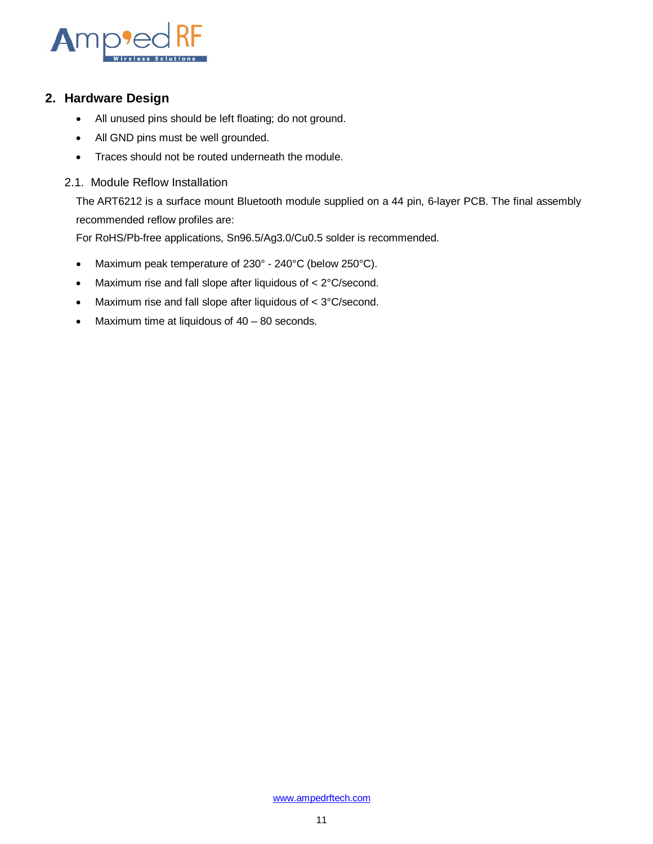

#### <span id="page-10-0"></span>**2. Hardware Design**

- All unused pins should be left floating; do not ground.
- All GND pins must be well grounded.
- Traces should not be routed underneath the module.
- 2.1. Module Reflow Installation

<span id="page-10-1"></span>The ART6212 is a surface mount Bluetooth module supplied on a 44 pin, 6-layer PCB. The final assembly recommended reflow profiles are:

For RoHS/Pb-free applications, Sn96.5/Ag3.0/Cu0.5 solder is recommended.

- Maximum peak temperature of 230° 240°C (below 250°C).
- Maximum rise and fall slope after liquidous of < 2°C/second.
- Maximum rise and fall slope after liquidous of < 3°C/second.
- Maximum time at liquidous of 40 80 seconds.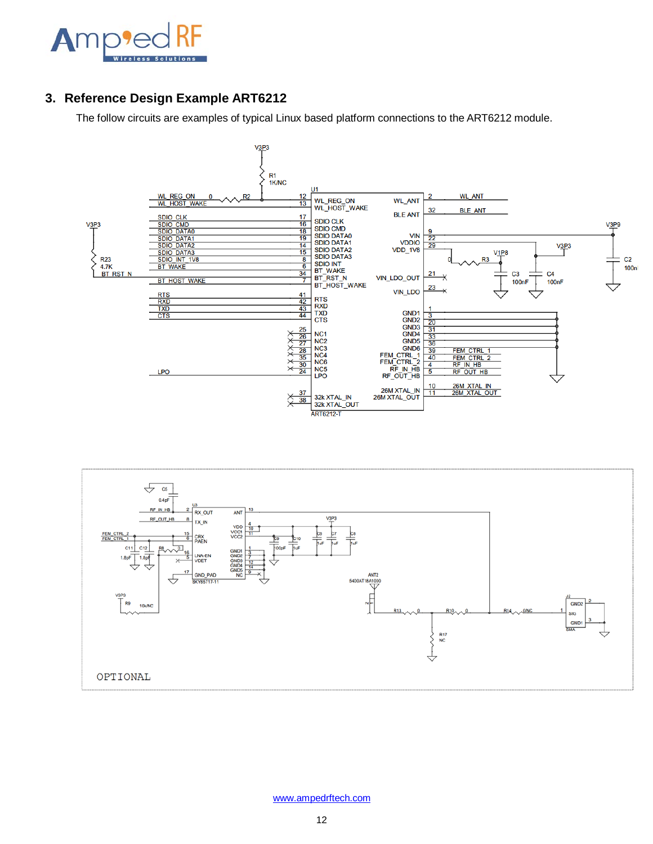

### <span id="page-11-0"></span>**3. Reference Design Example ART6212**

The follow circuits are examples of typical Linux based platform connections to the ART6212 module.



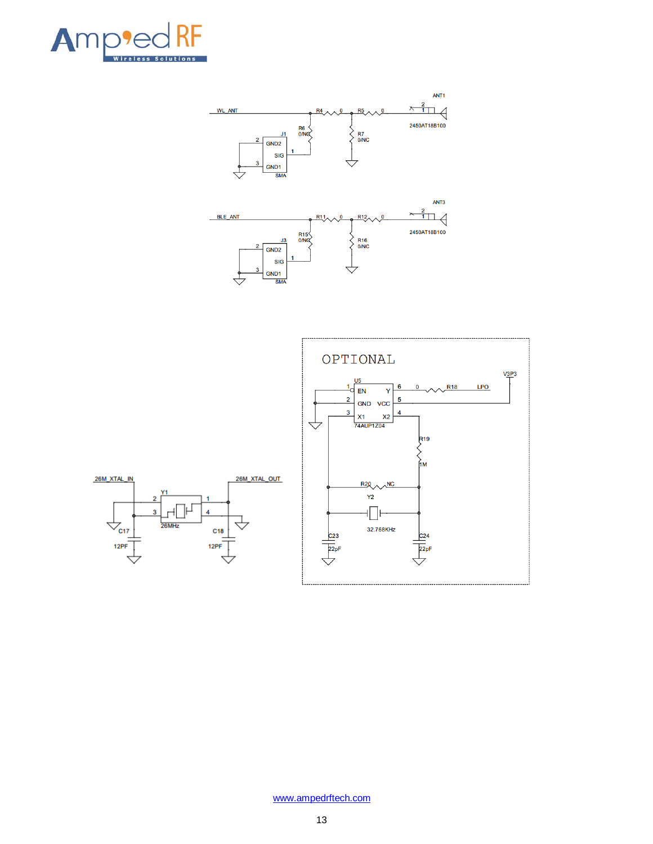



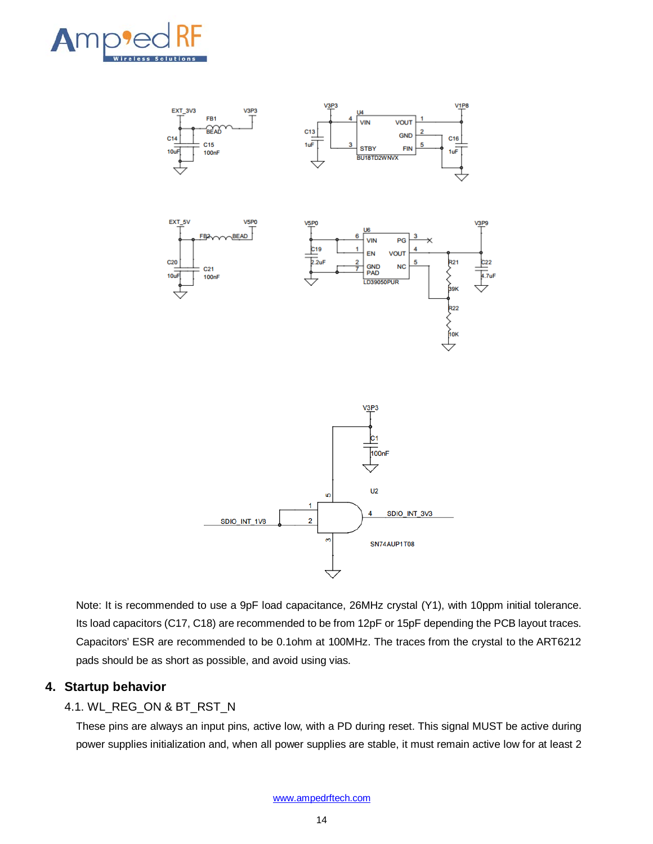



Note: It is recommended to use a 9pF load capacitance, 26MHz crystal (Y1), with 10ppm initial tolerance. Its load capacitors (C17, C18) are recommended to be from 12pF or 15pF depending the PCB layout traces. Capacitors' ESR are recommended to be 0.1ohm at 100MHz. The traces from the crystal to the ART6212 pads should be as short as possible, and avoid using vias.

#### <span id="page-13-0"></span>**4. Startup behavior**

#### <span id="page-13-1"></span>4.1. WL\_REG\_ON & BT\_RST\_N

These pins are always an input pins, active low, with a PD during reset. This signal MUST be active during power supplies initialization and, when all power supplies are stable, it must remain active low for at least 2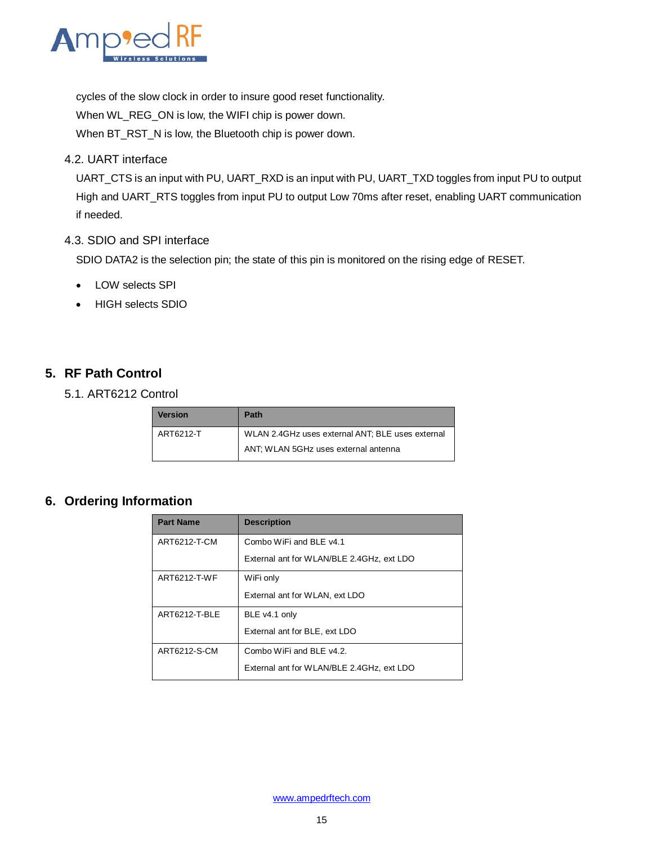

cycles of the slow clock in order to insure good reset functionality. When WL\_REG\_ON is low, the WIFI chip is power down. When BT\_RST\_N is low, the Bluetooth chip is power down.

<span id="page-14-0"></span>4.2. UART interface

UART\_CTS is an input with PU, UART\_RXD is an input with PU, UART\_TXD toggles from input PU to output High and UART\_RTS toggles from input PU to output Low 70ms after reset, enabling UART communication if needed.

#### 4.3. SDIO and SPI interface

SDIO DATA2 is the selection pin; the state of this pin is monitored on the rising edge of RESET.

- LOW selects SPI
- HIGH selects SDIO

### <span id="page-14-1"></span>**5. RF Path Control**

<span id="page-14-2"></span>5.1. ART6212 Control

| <b>Version</b> | <b>Path</b>                                      |
|----------------|--------------------------------------------------|
| ART6212-T      | WLAN 2.4GHz uses external ANT; BLE uses external |
|                | ANT: WLAN 5GHz uses external antenna             |

## <span id="page-14-3"></span>**6. Ordering Information**

| <b>Part Name</b> | <b>Description</b>                        |
|------------------|-------------------------------------------|
| ART6212-T-CM     | Combo WiFi and BLE v4.1                   |
|                  | External ant for WLAN/BLE 2.4GHz, ext LDO |
| ART6212-T-WF     | WiFi only                                 |
|                  | External ant for WLAN, ext LDO            |
| ART6212-T-BLE    | BLE v4.1 only                             |
|                  | External ant for BLE, ext LDO             |
| ART6212-S-CM     | Combo WiFi and BLE v4.2.                  |
|                  | External ant for WLAN/BLE 2.4GHz, ext LDO |